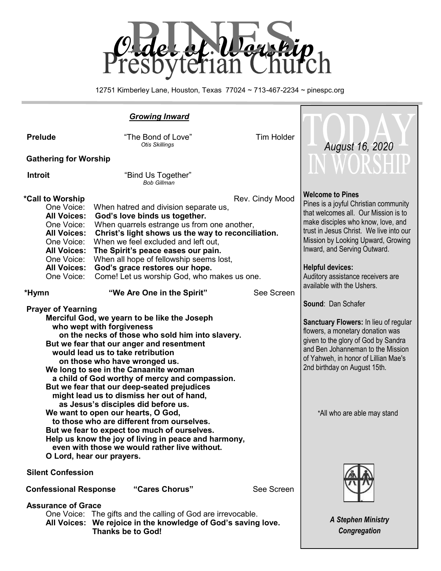

12751 Kimberley Lane, Houston, Texas 77024 ~ 713-467-2234 ~ pinespc.org

|                                                                                                                                                                                                                      | <b>Growing Inward</b>                                                                                                                                                                                                                                                                                                                                                                                                                                                                                                                                                                                                                                                                                                                                                                                                                                                                                                                                                                                                                                                                                                                             |                               |                                                                                                                                                                                                                                                                                                                                                                                                                                                                                                                                                                                                                                                     |
|----------------------------------------------------------------------------------------------------------------------------------------------------------------------------------------------------------------------|---------------------------------------------------------------------------------------------------------------------------------------------------------------------------------------------------------------------------------------------------------------------------------------------------------------------------------------------------------------------------------------------------------------------------------------------------------------------------------------------------------------------------------------------------------------------------------------------------------------------------------------------------------------------------------------------------------------------------------------------------------------------------------------------------------------------------------------------------------------------------------------------------------------------------------------------------------------------------------------------------------------------------------------------------------------------------------------------------------------------------------------------------|-------------------------------|-----------------------------------------------------------------------------------------------------------------------------------------------------------------------------------------------------------------------------------------------------------------------------------------------------------------------------------------------------------------------------------------------------------------------------------------------------------------------------------------------------------------------------------------------------------------------------------------------------------------------------------------------------|
| <b>Prelude</b>                                                                                                                                                                                                       | "The Bond of Love"<br><b>Otis Skillings</b>                                                                                                                                                                                                                                                                                                                                                                                                                                                                                                                                                                                                                                                                                                                                                                                                                                                                                                                                                                                                                                                                                                       | <b>Tim Holder</b>             | <b>August 16, 2020</b>                                                                                                                                                                                                                                                                                                                                                                                                                                                                                                                                                                                                                              |
| <b>Gathering for Worship</b>                                                                                                                                                                                         |                                                                                                                                                                                                                                                                                                                                                                                                                                                                                                                                                                                                                                                                                                                                                                                                                                                                                                                                                                                                                                                                                                                                                   |                               | IN WORSHIP                                                                                                                                                                                                                                                                                                                                                                                                                                                                                                                                                                                                                                          |
| <b>Introit</b>                                                                                                                                                                                                       | "Bind Us Together"<br><b>Bob Gillman</b>                                                                                                                                                                                                                                                                                                                                                                                                                                                                                                                                                                                                                                                                                                                                                                                                                                                                                                                                                                                                                                                                                                          |                               |                                                                                                                                                                                                                                                                                                                                                                                                                                                                                                                                                                                                                                                     |
| *Call to Worship<br>One Voice:<br><b>All Voices:</b><br>One Voice:<br><b>All Voices:</b><br>One Voice:<br><b>All Voices:</b><br>One Voice:<br><b>All Voices:</b><br>One Voice:<br>*Hymn<br><b>Prayer of Yearning</b> | When hatred and division separate us,<br>God's love binds us together.<br>When quarrels estrange us from one another,<br>Christ's light shows us the way to reconciliation.<br>When we feel excluded and left out,<br>The Spirit's peace eases our pain.<br>When all hope of fellowship seems lost,<br>God's grace restores our hope.<br>Come! Let us worship God, who makes us one.<br>"We Are One in the Spirit"<br>Merciful God, we yearn to be like the Joseph<br>who wept with forgiveness<br>on the necks of those who sold him into slavery.<br>But we fear that our anger and resentment<br>would lead us to take retribution<br>on those who have wronged us.<br>We long to see in the Canaanite woman<br>a child of God worthy of mercy and compassion.<br>But we fear that our deep-seated prejudices<br>might lead us to dismiss her out of hand,<br>as Jesus's disciples did before us.<br>We want to open our hearts, O God,<br>to those who are different from ourselves.<br>But we fear to expect too much of ourselves.<br>Help us know the joy of living in peace and harmony,<br>even with those we would rather live without. | Rev. Cindy Mood<br>See Screen | <b>Welcome to Pines</b><br>Pines is a joyful Christian community<br>that welcomes all. Our Mission is to<br>make disciples who know, love, and<br>trust in Jesus Christ. We live into our<br>Mission by Looking Upward, Growing<br>Inward, and Serving Outward.<br><b>Helpful devices:</b><br>Auditory assistance receivers are<br>available with the Ushers.<br>Sound: Dan Schafer<br>Sanctuary Flowers: In lieu of regular<br>flowers, a monetary donation was<br>given to the glory of God by Sandra<br>and Ben Johanneman to the Mission<br>of Yahweh, in honor of Lillian Mae's<br>2nd birthday on August 15th.<br>*All who are able may stand |
| O Lord, hear our prayers.<br><b>Silent Confession</b>                                                                                                                                                                |                                                                                                                                                                                                                                                                                                                                                                                                                                                                                                                                                                                                                                                                                                                                                                                                                                                                                                                                                                                                                                                                                                                                                   |                               |                                                                                                                                                                                                                                                                                                                                                                                                                                                                                                                                                                                                                                                     |
| "Cares Chorus"<br>See Screen<br><b>Confessional Response</b>                                                                                                                                                         |                                                                                                                                                                                                                                                                                                                                                                                                                                                                                                                                                                                                                                                                                                                                                                                                                                                                                                                                                                                                                                                                                                                                                   |                               |                                                                                                                                                                                                                                                                                                                                                                                                                                                                                                                                                                                                                                                     |
| <b>Assurance of Grace</b>                                                                                                                                                                                            | One Voice: The gifts and the calling of God are irrevocable.<br>All Voices: We rejoice in the knowledge of God's saving love.<br><b>Thanks be to God!</b>                                                                                                                                                                                                                                                                                                                                                                                                                                                                                                                                                                                                                                                                                                                                                                                                                                                                                                                                                                                         |                               | <b>A Stephen Ministry</b><br>Congregation                                                                                                                                                                                                                                                                                                                                                                                                                                                                                                                                                                                                           |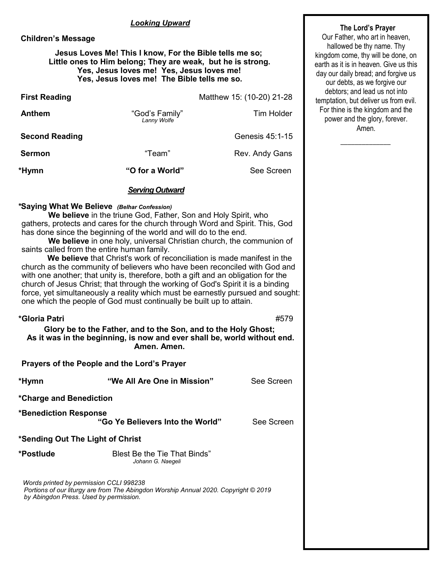#### *Looking Upward*

#### **Children's Message**

#### **Jesus Loves Me! This I know, For the Bible tells me so; Little ones to Him belong; They are weak, but he is strong. Yes, Jesus loves me! Yes, Jesus loves me! Yes, Jesus loves me! The Bible tells me so.**

| <b>First Reading</b>  |                               | Matthew 15: (10-20) 21-28 |
|-----------------------|-------------------------------|---------------------------|
| <b>Anthem</b>         | "God's Family"<br>Lanny Wolfe | Tim Holder                |
| <b>Second Reading</b> |                               | Genesis 45:1-15           |
| <b>Sermon</b>         | "Team"                        | Rev. Andy Gans            |
| *Hymn                 | "O for a World"               | See Screen                |

#### *Serving Outward*

### **\*Saying What We Believe** *(Belhar Confession)*

**We believe** in the triune God, Father, Son and Holy Spirit, who gathers, protects and cares for the church through Word and Spirit. This, God has done since the beginning of the world and will do to the end.

**We believe** in one holy, universal Christian church, the communion of saints called from the entire human family.

**We believe** that Christ's work of reconciliation is made manifest in the church as the community of believers who have been reconciled with God and with one another; that unity is, therefore, both a gift and an obligation for the church of Jesus Christ; that through the working of God's Spirit it is a binding force, yet simultaneously a reality which must be earnestly pursued and sought: one which the people of God must continually be built up to attain.

| *Gloria Patri                           | Glory be to the Father, and to the Son, and to the Holy Ghost;<br>As it was in the beginning, is now and ever shall be, world without end.<br>Amen. Amen. | #579       |  |
|-----------------------------------------|-----------------------------------------------------------------------------------------------------------------------------------------------------------|------------|--|
|                                         | Prayers of the People and the Lord's Prayer                                                                                                               |            |  |
| *Hymn                                   | "We All Are One in Mission"                                                                                                                               | See Screen |  |
| *Charge and Benediction                 |                                                                                                                                                           |            |  |
| *Benediction Response                   | "Go Ye Believers Into the World"                                                                                                                          | See Screen |  |
| *Sending Out The Light of Christ        |                                                                                                                                                           |            |  |
| *Postlude                               | <b>Blest Be the Tie That Binds"</b><br>Johann G. Naegeli                                                                                                  |            |  |
| Words printed by permission CCLI 998238 |                                                                                                                                                           |            |  |

 *Portions of our liturgy are from The Abingdon Worship Annual 2020. Copyright © 2019 by Abingdon Press. Used by permission.*

## **The Lord's Prayer**

Our Father, who art in heaven, hallowed be thy name. Thy kingdom come, thy will be done, on earth as it is in heaven. Give us this day our daily bread; and forgive us our debts, as we forgive our debtors; and lead us not into temptation, but deliver us from evil. For thine is the kingdom and the power and the glory, forever. Amen.

 $\overline{\phantom{a}}$  ,  $\overline{\phantom{a}}$  ,  $\overline{\phantom{a}}$  ,  $\overline{\phantom{a}}$  ,  $\overline{\phantom{a}}$  ,  $\overline{\phantom{a}}$  ,  $\overline{\phantom{a}}$  ,  $\overline{\phantom{a}}$  ,  $\overline{\phantom{a}}$  ,  $\overline{\phantom{a}}$  ,  $\overline{\phantom{a}}$  ,  $\overline{\phantom{a}}$  ,  $\overline{\phantom{a}}$  ,  $\overline{\phantom{a}}$  ,  $\overline{\phantom{a}}$  ,  $\overline{\phantom{a}}$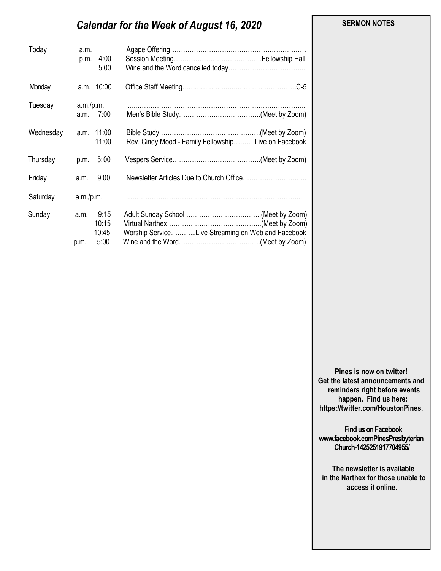#### **SERMON NOTES**

# *Calendar for the Week of August 16, 2020*

| Today     | a.m.<br>4:00<br>p.m.<br>5:00                   |                                                     |
|-----------|------------------------------------------------|-----------------------------------------------------|
| Monday    | a.m. 10:00                                     |                                                     |
| Tuesday   | a.m./p.m.<br>a.m. 7:00                         |                                                     |
| Wednesday | a.m. 11:00<br>11:00                            | Rev. Cindy Mood - Family FellowshipLive on Facebook |
| Thursday  | 5:00<br>p.m.                                   |                                                     |
| Friday    | 9:00<br>a.m.                                   |                                                     |
| Saturday  | a.m./p.m.                                      |                                                     |
| Sunday    | 9:15<br>a.m.<br>10:15<br>10:45<br>5:00<br>p.m. | Worship ServiceLive Streaming on Web and Facebook   |

**Pines is now on twitter! Get the latest announcements and reminders right before events happen. Find us here: https://twitter.com/HoustonPines.** 

 **Find us on Facebook www.facebook.comPinesPresbyterian Church-1425251917704955/**

 **The newsletter is available in the Narthex for those unable to access it online.**